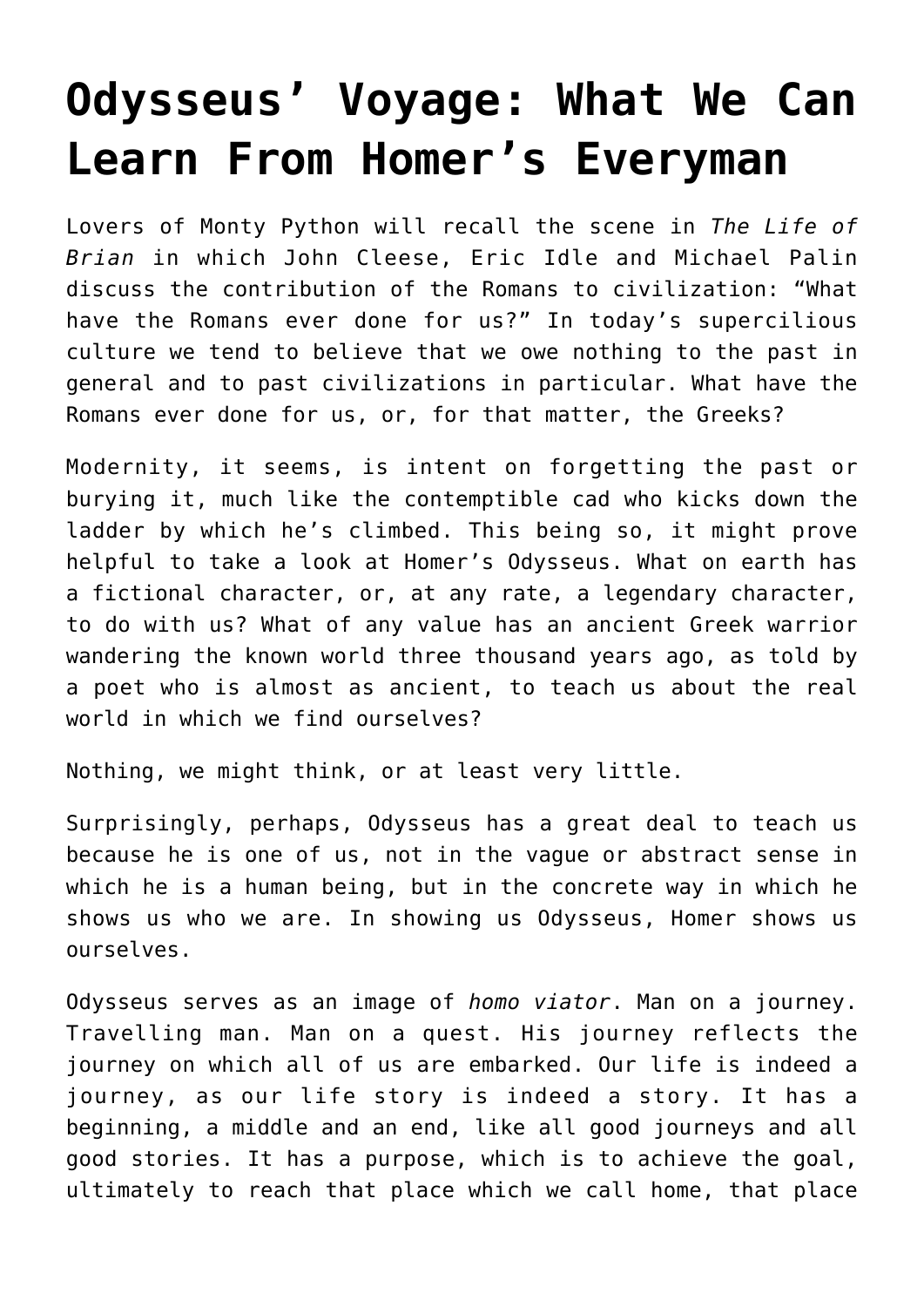## **[Odysseus' Voyage: What We Can](https://intellectualtakeout.org/2017/01/odysseus-voyage-what-we-can-learn-from-homers-everyman/) [Learn From Homer's Everyman](https://intellectualtakeout.org/2017/01/odysseus-voyage-what-we-can-learn-from-homers-everyman/)**

Lovers of Monty Python will recall the scene in *The Life of Brian* in which John Cleese, Eric Idle and Michael Palin discuss the contribution of the Romans to civilization: "What have the Romans ever done for us?" In today's supercilious culture we tend to believe that we owe nothing to the past in general and to past civilizations in particular. What have the Romans ever done for us, or, for that matter, the Greeks?

Modernity, it seems, is intent on forgetting the past or burying it, much like the contemptible cad who kicks down the ladder by which he's climbed. This being so, it might prove helpful to take a look at Homer's Odysseus. What on earth has a fictional character, or, at any rate, a legendary character, to do with us? What of any value has an ancient Greek warrior wandering the known world three thousand years ago, as told by a poet who is almost as ancient, to teach us about the real world in which we find ourselves?

Nothing, we might think, or at least very little.

Surprisingly, perhaps, Odysseus has a great deal to teach us because he is one of us, not in the vague or abstract sense in which he is a human being, but in the concrete way in which he shows us who we are. In showing us Odysseus, Homer shows us ourselves.

Odysseus serves as an image of *homo viator*. Man on a journey. Travelling man. Man on a quest. His journey reflects the journey on which all of us are embarked. Our life is indeed a journey, as our life story is indeed a story. It has a beginning, a middle and an end, like all good journeys and all good stories. It has a purpose, which is to achieve the goal, ultimately to reach that place which we call home, that place